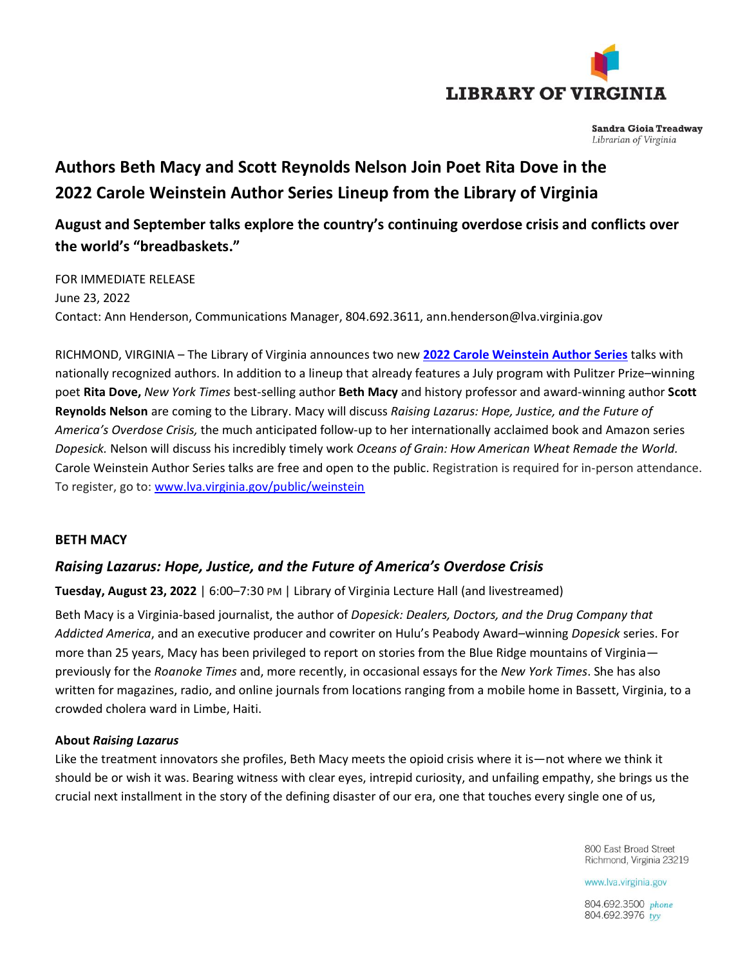

**Sandra Gioia Treadway** Librarian of Virginia

# **Authors Beth Macy and Scott Reynolds Nelson Join Poet Rita Dove in the 2022 Carole Weinstein Author Series Lineup from the Library of Virginia**

# **August and September talks explore the country's continuing overdose crisis and conflicts over the world's "breadbaskets."**

FOR IMMEDIATE RELEASE June 23, 2022 Contact: Ann Henderson, Communications Manager, 804.692.3611, [ann.henderson@lva.virginia.gov](mailto:ann.henderson@lva.virginia.gov)

RICHMOND, VIRGINIA – The Library of Virginia announces two new **2022 [Carole Weinstein Author Series](https://www.lva.virginia.gov/public/weinstein/)** talks with nationally recognized authors. In addition to a lineup that already features a July program with Pulitzer Prize–winning poet **Rita Dove,** *New York Times* best-selling author **Beth Macy** and history professor and award-winning author **Scott Reynolds Nelson** are coming to the Library. Macy will discuss *Raising Lazarus: Hope, Justice, and the Future of America's Overdose Crisis,* the much anticipated follow-up to her internationally acclaimed book and Amazon series *Dopesick.* Nelson will discuss his incredibly timely work *Oceans of Grain: How American Wheat Remade the World.*  Carole Weinstein Author Series talks are free and open to the public. Registration is required for in-person attendance. To register, go to: [www.lva.virginia.gov/public/weinstein](http://www.lva.virginia.gov/public/weinstein)

# **BETH MACY**

# *Raising Lazarus: Hope, Justice, and the Future of America's Overdose Crisis*

**Tuesday, August 23, 2022** | 6:00–7:30 PM | Library of Virginia Lecture Hall (and livestreamed)

Beth Macy is a Virginia-based journalist, the author of *Dopesick: Dealers, Doctors, and the Drug Company that Addicted America*, and an executive producer and cowriter on Hulu's Peabody Award–winning *Dopesick* series. For more than 25 years, Macy has been privileged to report on stories from the Blue Ridge mountains of Virginia previously for the *Roanoke Times* and, more recently, in occasional essays for the *New York Times*. She has also written for magazines, radio, and online journals from locations ranging from a mobile home in Bassett, Virginia, to a crowded cholera ward in Limbe, Haiti.

#### **About** *Raising Lazarus*

Like the treatment innovators she profiles, Beth Macy meets the opioid crisis where it is—not where we think it should be or wish it was. Bearing witness with clear eyes, intrepid curiosity, and unfailing empathy, she brings us the crucial next installment in the story of the defining disaster of our era, one that touches every single one of us,

> 800 East Broad Street Richmond, Virginia 23219

www.lva.virginia.gov

804.692.3500 phone 804.692.3976 tyv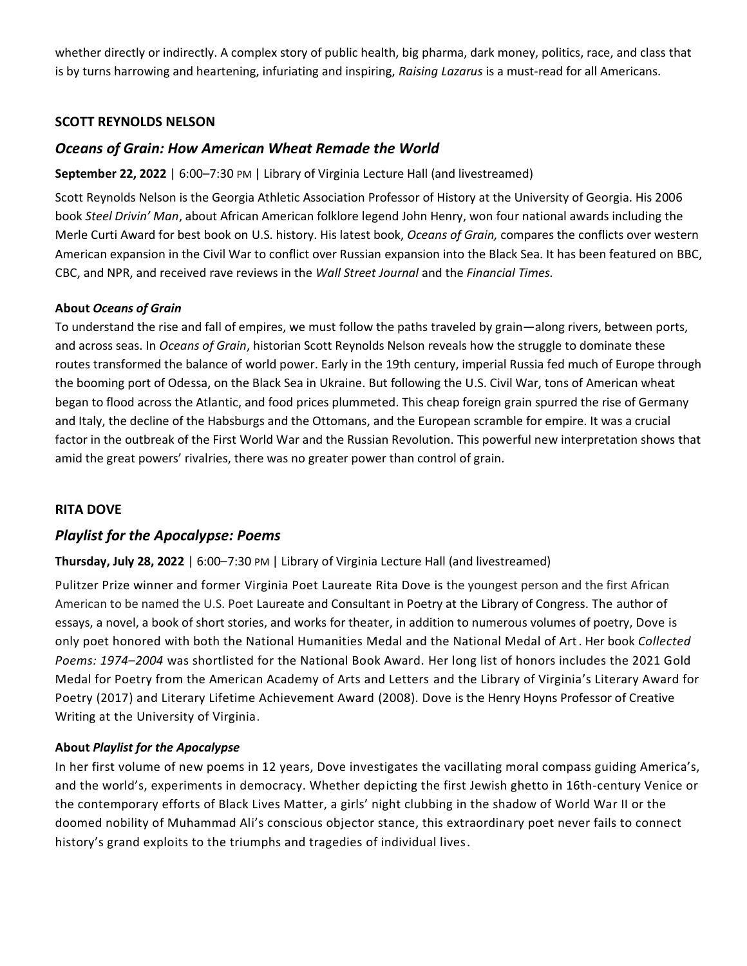whether directly or indirectly. A complex story of public health, big pharma, dark money, politics, race, and class that is by turns harrowing and heartening, infuriating and inspiring, *Raising Lazarus* is a must-read for all Americans.

# **SCOTT REYNOLDS NELSON**

# *Oceans of Grain: How American Wheat Remade the World*

#### **September 22, 2022** | 6:00–7:30 PM | Library of Virginia Lecture Hall (and livestreamed)

Scott Reynolds Nelson is the Georgia Athletic Association Professor of History at the University of Georgia. His 2006 book *Steel Drivin' Man*, about African American folklore legend John Henry, won four national awards including the Merle Curti Award for best book on U.S. history. His latest book, *Oceans of Grain,* compares the conflicts over western American expansion in the Civil War to conflict over Russian expansion into the Black Sea. It has been featured on BBC, CBC, and NPR, and received rave reviews in the *Wall Street Journal* and the *Financial Times.*

#### **About** *Oceans of Grain*

To understand the rise and fall of empires, we must follow the paths traveled by grain—along rivers, between ports, and across seas. In *Oceans of Grain*, historian Scott Reynolds Nelson reveals how the struggle to dominate these routes transformed the balance of world power. Early in the 19th century, imperial Russia fed much of Europe through the booming port of Odessa, on the Black Sea in Ukraine. But following the U.S. Civil War, tons of American wheat began to flood across the Atlantic, and food prices plummeted. This cheap foreign grain spurred the rise of Germany and Italy, the decline of the Habsburgs and the Ottomans, and the European scramble for empire. It was a crucial factor in the outbreak of the First World War and the Russian Revolution. This powerful new interpretation shows that amid the great powers' rivalries, there was no greater power than control of grain.

# **RITA DOVE**

# *Playlist for the Apocalypse: Poems*

#### **Thursday, July 28, 2022** | 6:00–7:30 PM | Library of Virginia Lecture Hall (and livestreamed)

Pulitzer Prize winner and former Virginia Poet Laureate Rita Dove is the youngest person and the first African American to be named the U.S. Poet Laureate and Consultant in Poetry at the Library of Congress. The author of essays, a novel, a book of short stories, and works for theater, in addition to numerous volumes of poetry, Dove is only poet honored with both the National Humanities Medal and the National Medal of Art. Her book *Collected Poems: 1974–2004* was shortlisted for the National Book Award. Her long list of honors includes the 2021 Gold Medal for Poetry from the American Academy of Arts and Letters and the Library of Virginia's Literary Award for Poetry (2017) and Literary Lifetime Achievement Award (2008). Dove is the Henry Hoyns Professor of Creative Writing at the University of Virginia.

#### **About** *Playlist for the Apocalypse*

In her first volume of new poems in 12 years, Dove investigates the vacillating moral compass guiding America's, and the world's, experiments in democracy. Whether depicting the first Jewish ghetto in 16th-century Venice or the contemporary efforts of Black Lives Matter, a girls' night clubbing in the shadow of World War II or the doomed nobility of Muhammad Ali's conscious objector stance, this extraordinary poet never fails to connect history's grand exploits to the triumphs and tragedies of individual lives.